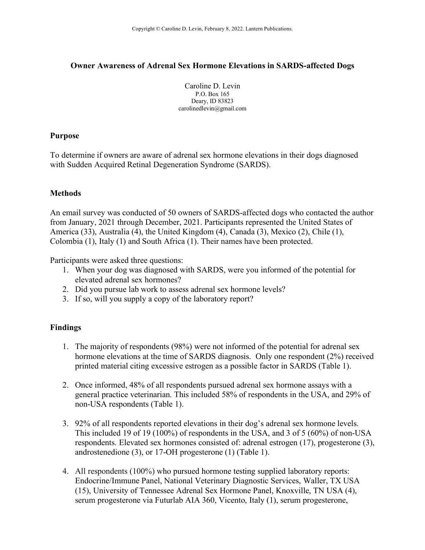# **Owner Awareness of Adrenal Sex Hormone Elevations in SARDS-affected Dogs**

Caroline D. Levin P.O. Box 165 Deary, ID 83823 carolinedlevin@gmail.com

### **Purpose**

To determine if owners are aware of adrenal sex hormone elevations in their dogs diagnosed with Sudden Acquired Retinal Degeneration Syndrome (SARDS).

# **Methods**

An email survey was conducted of 50 owners of SARDS-affected dogs who contacted the author from January, 2021 through December, 2021. Participants represented the United States of America (33), Australia (4), the United Kingdom (4), Canada (3), Mexico (2), Chile (1), Colombia (1), Italy (1) and South Africa (1). Their names have been protected.

Participants were asked three questions:

- 1. When your dog was diagnosed with SARDS, were you informed of the potential for elevated adrenal sex hormones?
- 2. Did you pursue lab work to assess adrenal sex hormone levels?
- 3. If so, will you supply a copy of the laboratory report?

# **Findings**

- 1. The majority of respondents (98%) were not informed of the potential for adrenal sex hormone elevations at the time of SARDS diagnosis. Only one respondent (2%) received printed material citing excessive estrogen as a possible factor in SARDS (Table 1).
- 2. Once informed, 48% of all respondents pursued adrenal sex hormone assays with a general practice veterinarian. This included 58% of respondents in the USA, and 29% of non-USA respondents (Table 1).
- 3. 92% of all respondents reported elevations in their dog's adrenal sex hormone levels. This included 19 of 19 (100%) of respondents in the USA, and 3 of 5 (60%) of non-USA respondents. Elevated sex hormones consisted of: adrenal estrogen (17), progesterone (3), androstenedione (3), or 17-OH progesterone (1) (Table 1).
- 4. All respondents (100%) who pursued hormone testing supplied laboratory reports: Endocrine/Immune Panel, National Veterinary Diagnostic Services, Waller, TX USA (15), University of Tennessee Adrenal Sex Hormone Panel, Knoxville, TN USA (4), serum progesterone via Futurlab AIA 360, Vicento, Italy (1), serum progesterone,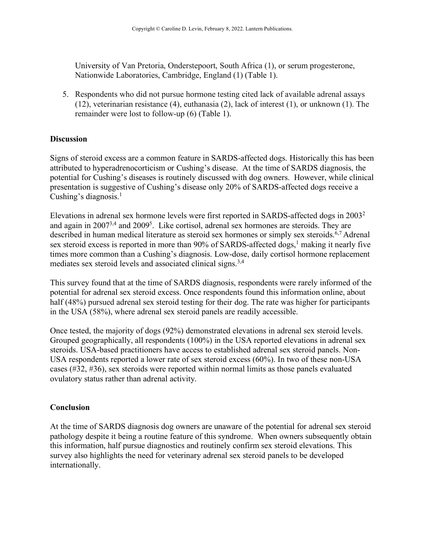University of Van Pretoria, Onderstepoort, South Africa (1), or serum progesterone, Nationwide Laboratories, Cambridge, England (1) (Table 1).

5. Respondents who did not pursue hormone testing cited lack of available adrenal assays (12), veterinarian resistance (4), euthanasia (2), lack of interest (1), or unknown (1). The remainder were lost to follow-up (6) (Table 1).

## **Discussion**

Signs of steroid excess are a common feature in SARDS-affected dogs. Historically this has been attributed to hyperadrenocorticism or Cushing's disease. At the time of SARDS diagnosis, the potential for Cushing's diseases is routinely discussed with dog owners. However, while clinical presentation is suggestive of Cushing's disease only 20% of SARDS-affected dogs receive a Cushing's diagnosis. 1

Elevations in adrenal sex hormone levels were first reported in SARDS-affected dogs in 20032 and again in 2007<sup>3,4</sup> and 2009<sup>5</sup>. Like cortisol, adrenal sex hormones are steroids. They are described in human medical literature as steroid sex hormones or simply sex steroids.<sup>6,7</sup> Adrenal sex steroid excess is reported in more than 90% of SARDS-affected dogs,<sup>1</sup> making it nearly five times more common than a Cushing's diagnosis. Low-dose, daily cortisol hormone replacement mediates sex steroid levels and associated clinical signs.<sup>3,4</sup>

This survey found that at the time of SARDS diagnosis, respondents were rarely informed of the potential for adrenal sex steroid excess. Once respondents found this information online, about half (48%) pursued adrenal sex steroid testing for their dog. The rate was higher for participants in the USA (58%), where adrenal sex steroid panels are readily accessible.

Once tested, the majority of dogs (92%) demonstrated elevations in adrenal sex steroid levels. Grouped geographically, all respondents (100%) in the USA reported elevations in adrenal sex steroids. USA-based practitioners have access to established adrenal sex steroid panels. Non-USA respondents reported a lower rate of sex steroid excess (60%). In two of these non-USA cases (#32, #36), sex steroids were reported within normal limits as those panels evaluated ovulatory status rather than adrenal activity.

# **Conclusion**

At the time of SARDS diagnosis dog owners are unaware of the potential for adrenal sex steroid pathology despite it being a routine feature of this syndrome. When owners subsequently obtain this information, half pursue diagnostics and routinely confirm sex steroid elevations. This survey also highlights the need for veterinary adrenal sex steroid panels to be developed internationally.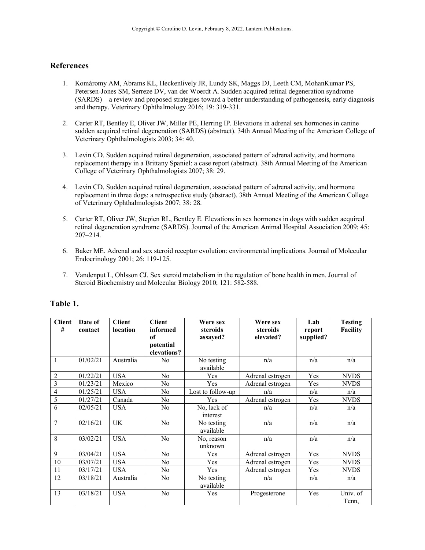#### **References**

- 1. Komáromy AM, Abrams KL, Heckenlively JR, Lundy SK, Maggs DJ, Leeth CM, MohanKumar PS, Petersen-Jones SM, Serreze DV, van der Woerdt A. Sudden acquired retinal degeneration syndrome (SARDS) – a review and proposed strategies toward a better understanding of pathogenesis, early diagnosis and therapy. Veterinary Ophthalmology 2016; 19: 319-331.
- 2. Carter RT, Bentley E, Oliver JW, Miller PE, Herring IP. Elevations in adrenal sex hormones in canine sudden acquired retinal degeneration (SARDS) (abstract). 34th Annual Meeting of the American College of Veterinary Ophthalmologists 2003; 34: 40.
- 3. Levin CD. Sudden acquired retinal degeneration, associated pattern of adrenal activity, and hormone replacement therapy in a Brittany Spaniel: a case report (abstract). 38th Annual Meeting of the American College of Veterinary Ophthalmologists 2007; 38: 29.
- 4. Levin CD. Sudden acquired retinal degeneration, associated pattern of adrenal activity, and hormone replacement in three dogs: a retrospective study (abstract). 38th Annual Meeting of the American College of Veterinary Ophthalmologists 2007; 38: 28.
- 5. Carter RT, Oliver JW, Stepien RL, Bentley E. Elevations in sex hormones in dogs with sudden acquired retinal degeneration syndrome (SARDS). Journal of the American Animal Hospital Association 2009; 45: 207–214.
- 6. Baker ME. Adrenal and sex steroid receptor evolution: environmental implications. Journal of Molecular Endocrinology 2001; 26: 119-125.
- 7. Vandenput L, Ohlsson CJ. Sex steroid metabolism in the regulation of bone health in men. Journal of Steroid Biochemistry and Molecular Biology 2010; 121: 582-588.

| <b>Client</b><br># | Date of<br>contact | <b>Client</b><br>location | <b>Client</b><br>informed | Were sex<br>steroids    | Were sex<br>steroids | Lab<br>report | <b>Testing</b><br><b>Facility</b> |
|--------------------|--------------------|---------------------------|---------------------------|-------------------------|----------------------|---------------|-----------------------------------|
|                    |                    |                           | of                        | assayed?                | elevated?            | supplied?     |                                   |
|                    |                    |                           | potential<br>elevations?  |                         |                      |               |                                   |
|                    | 01/02/21           | Australia                 | N <sub>0</sub>            | No testing<br>available | n/a                  | n/a           | n/a                               |
| $\overline{2}$     | 01/22/21           | <b>USA</b>                | No                        | Yes                     | Adrenal estrogen     | Yes           | <b>NVDS</b>                       |
| $\overline{3}$     | 01/23/21           | Mexico                    | N <sub>0</sub>            | Yes                     | Adrenal estrogen     | Yes           | <b>NVDS</b>                       |
| 4                  | 01/25/21           | <b>USA</b>                | N <sub>0</sub>            | Lost to follow-up       | n/a                  | n/a           | n/a                               |
| 5                  | 01/27/21           | Canada                    | No                        | Yes                     | Adrenal estrogen     | Yes           | <b>NVDS</b>                       |
| 6                  | 02/05/21           | <b>USA</b>                | No                        | No, lack of<br>interest | n/a                  | n/a           | n/a                               |
| $\overline{7}$     | 02/16/21           | <b>UK</b>                 | No                        | No testing<br>available | n/a                  | n/a           | n/a                               |
| 8                  | 03/02/21           | <b>USA</b>                | N <sub>0</sub>            | No, reason<br>unknown   | n/a                  | n/a           | n/a                               |
| 9                  | 03/04/21           | <b>USA</b>                | No                        | <b>Yes</b>              | Adrenal estrogen     | Yes           | <b>NVDS</b>                       |
| 10                 | 03/07/21           | <b>USA</b>                | No.                       | Yes                     | Adrenal estrogen     | Yes           | <b>NVDS</b>                       |
| 11                 | 03/17/21           | <b>USA</b>                | No                        | Yes                     | Adrenal estrogen     | Yes           | <b>NVDS</b>                       |
| 12                 | 03/18/21           | Australia                 | No                        | No testing<br>available | n/a                  | n/a           | n/a                               |
| 13                 | 03/18/21           | <b>USA</b>                | No                        | Yes                     | Progesterone         | Yes           | Univ. of<br>Tenn,                 |

#### **Table 1.**